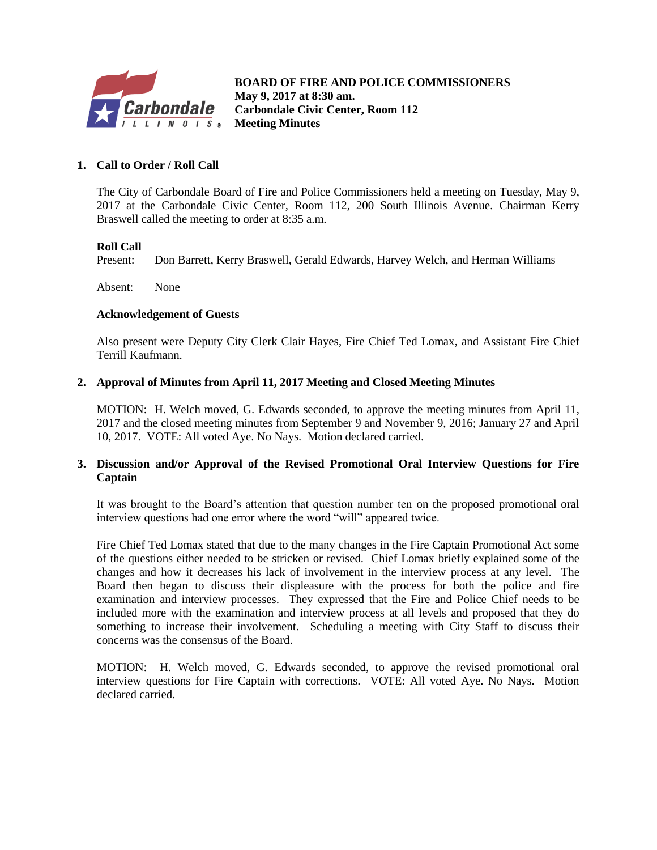

**B BOARD OF FIRE AND POLICE COMMISSIONERS May 9, 2017 at 8:30 am. Carbondale Civic Center, Room 112 Meeting Minutes**

### **1. Call to Order / Roll Call**

The City of Carbondale Board of Fire and Police Commissioners held a meeting on Tuesday, May 9, 2017 at the Carbondale Civic Center, Room 112, 200 South Illinois Avenue. Chairman Kerry Braswell called the meeting to order at 8:35 a.m.

#### **Roll Call**

Present: Don Barrett, Kerry Braswell, Gerald Edwards, Harvey Welch, and Herman Williams

Absent: None

#### **Acknowledgement of Guests**

Also present were Deputy City Clerk Clair Hayes, Fire Chief Ted Lomax, and Assistant Fire Chief Terrill Kaufmann.

#### **2. Approval of Minutes from April 11, 2017 Meeting and Closed Meeting Minutes**

MOTION: H. Welch moved, G. Edwards seconded, to approve the meeting minutes from April 11, 2017 and the closed meeting minutes from September 9 and November 9, 2016; January 27 and April 10, 2017. VOTE: All voted Aye. No Nays. Motion declared carried.

#### **3. Discussion and/or Approval of the Revised Promotional Oral Interview Questions for Fire Captain**

It was brought to the Board's attention that question number ten on the proposed promotional oral interview questions had one error where the word "will" appeared twice.

Fire Chief Ted Lomax stated that due to the many changes in the Fire Captain Promotional Act some of the questions either needed to be stricken or revised. Chief Lomax briefly explained some of the changes and how it decreases his lack of involvement in the interview process at any level. The Board then began to discuss their displeasure with the process for both the police and fire examination and interview processes. They expressed that the Fire and Police Chief needs to be included more with the examination and interview process at all levels and proposed that they do something to increase their involvement. Scheduling a meeting with City Staff to discuss their concerns was the consensus of the Board.

MOTION: H. Welch moved, G. Edwards seconded, to approve the revised promotional oral interview questions for Fire Captain with corrections. VOTE: All voted Aye. No Nays. Motion declared carried.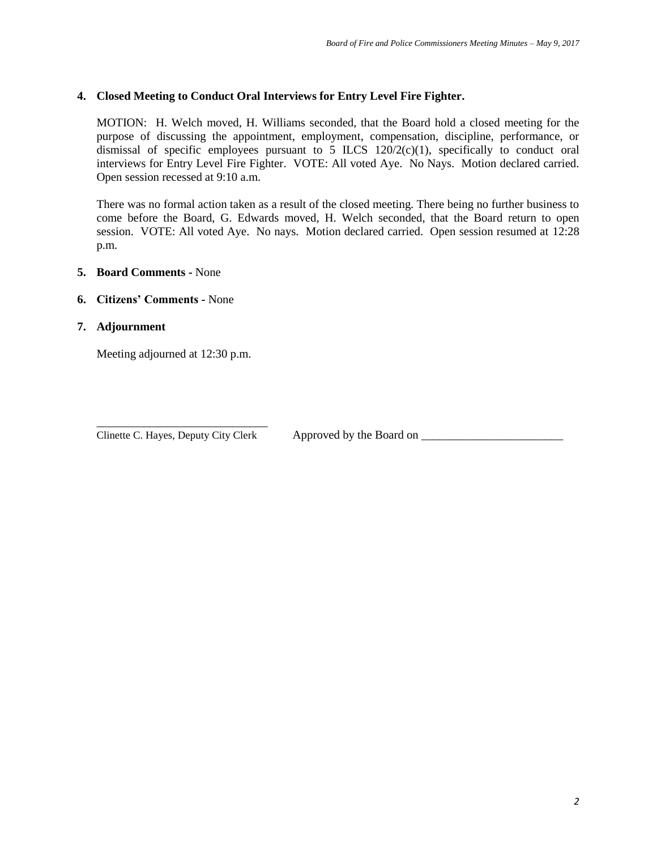#### **4. Closed Meeting to Conduct Oral Interviews for Entry Level Fire Fighter.**

MOTION: H. Welch moved, H. Williams seconded, that the Board hold a closed meeting for the purpose of discussing the appointment, employment, compensation, discipline, performance, or dismissal of specific employees pursuant to  $5$  ILCS  $120/2(c)(1)$ , specifically to conduct oral interviews for Entry Level Fire Fighter. VOTE: All voted Aye. No Nays. Motion declared carried. Open session recessed at 9:10 a.m.

There was no formal action taken as a result of the closed meeting. There being no further business to come before the Board, G. Edwards moved, H. Welch seconded, that the Board return to open session. VOTE: All voted Aye. No nays. Motion declared carried. Open session resumed at 12:28 p.m.

#### **5. Board Comments -** None

#### **6. Citizens' Comments -** None

**7. Adjournment**

Meeting adjourned at 12:30 p.m.

\_\_\_\_\_\_\_\_\_\_\_\_\_\_\_\_\_\_\_\_\_\_\_\_\_\_\_\_\_ Clinette C. Hayes, Deputy City Clerk Approved by the Board on \_\_\_\_\_\_\_\_\_\_\_\_\_\_\_\_\_\_\_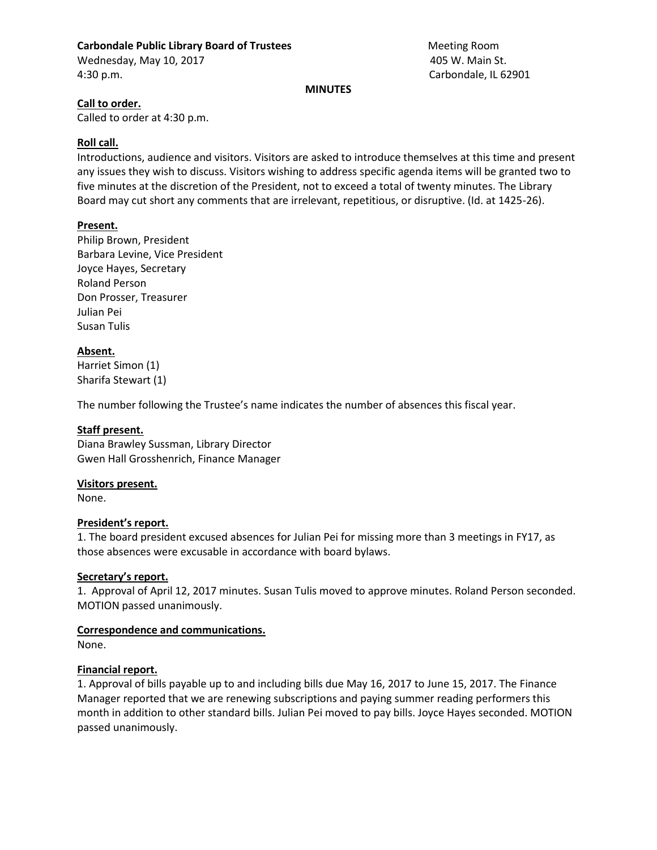# **Carbondale Public Library Board of Trustees** Meeting Room Meeting Room

Wednesday, May 10, 2017 **And Accord Room Control Accord Room** 405 W. Main St. 4:30 p.m. Carbondale, IL 62901

#### **MINUTES**

## **Call to order.**

Called to order at 4:30 p.m.

## **Roll call.**

Introductions, audience and visitors. Visitors are asked to introduce themselves at this time and present any issues they wish to discuss. Visitors wishing to address specific agenda items will be granted two to five minutes at the discretion of the President, not to exceed a total of twenty minutes. The Library Board may cut short any comments that are irrelevant, repetitious, or disruptive. (Id. at 1425-26).

## **Present.**

Philip Brown, President Barbara Levine, Vice President Joyce Hayes, Secretary Roland Person Don Prosser, Treasurer Julian Pei Susan Tulis

## **Absent.**

Harriet Simon (1) Sharifa Stewart (1)

The number following the Trustee's name indicates the number of absences this fiscal year.

## **Staff present.**

Diana Brawley Sussman, Library Director Gwen Hall Grosshenrich, Finance Manager

## **Visitors present.**

None.

## **President's report.**

1. The board president excused absences for Julian Pei for missing more than 3 meetings in FY17, as those absences were excusable in accordance with board bylaws.

## **Secretary's report.**

1. Approval of April 12, 2017 minutes. Susan Tulis moved to approve minutes. Roland Person seconded. MOTION passed unanimously.

## **Correspondence and communications.**

None.

## **Financial report.**

1. Approval of bills payable up to and including bills due May 16, 2017 to June 15, 2017. The Finance Manager reported that we are renewing subscriptions and paying summer reading performers this month in addition to other standard bills. Julian Pei moved to pay bills. Joyce Hayes seconded. MOTION passed unanimously.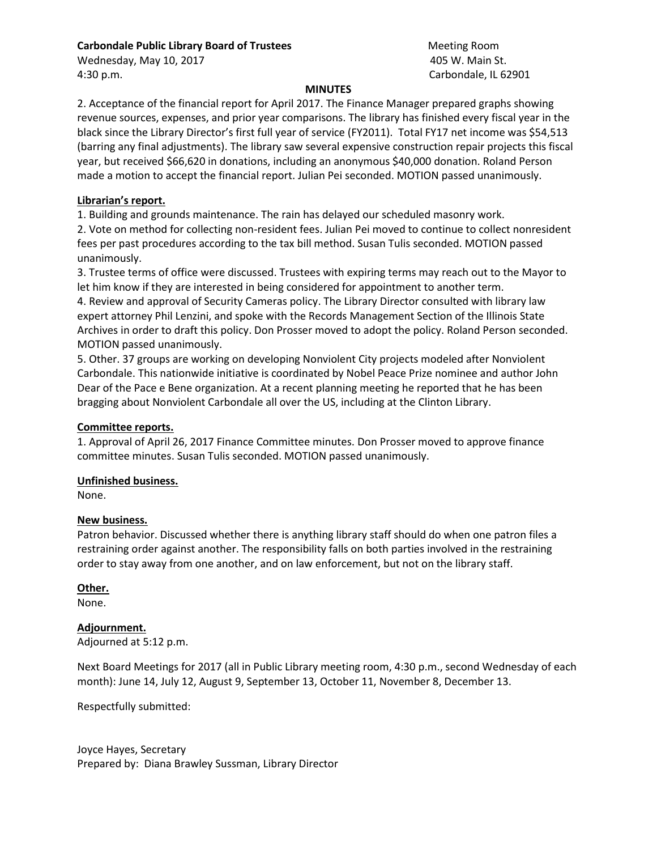## **Carbondale Public Library Board of Trustees** Meeting Room Meeting Room

Wednesday, May 10, 2017 **And Accord Room Control Accord Accord Accord Room** Accord Accord Accord Accord Accord Accord Room Accord Room Accord Accord Accord Room Accord Room Accord Accord Accord Accord Accord Accord Accord 4:30 p.m. Carbondale, IL 62901

#### **MINUTES**

2. Acceptance of the financial report for April 2017. The Finance Manager prepared graphs showing revenue sources, expenses, and prior year comparisons. The library has finished every fiscal year in the black since the Library Director's first full year of service (FY2011). Total FY17 net income was \$54,513 (barring any final adjustments). The library saw several expensive construction repair projects this fiscal year, but received \$66,620 in donations, including an anonymous \$40,000 donation. Roland Person made a motion to accept the financial report. Julian Pei seconded. MOTION passed unanimously.

#### **Librarian's report.**

1. Building and grounds maintenance. The rain has delayed our scheduled masonry work.

2. Vote on method for collecting non-resident fees. Julian Pei moved to continue to collect nonresident fees per past procedures according to the tax bill method. Susan Tulis seconded. MOTION passed unanimously.

3. Trustee terms of office were discussed. Trustees with expiring terms may reach out to the Mayor to let him know if they are interested in being considered for appointment to another term.

4. Review and approval of Security Cameras policy. The Library Director consulted with library law expert attorney Phil Lenzini, and spoke with the Records Management Section of the Illinois State Archives in order to draft this policy. Don Prosser moved to adopt the policy. Roland Person seconded. MOTION passed unanimously.

5. Other. 37 groups are working on developing Nonviolent City projects modeled after Nonviolent Carbondale. This nationwide initiative is coordinated by Nobel Peace Prize nominee and author John Dear of the Pace e Bene organization. At a recent planning meeting he reported that he has been bragging about Nonviolent Carbondale all over the US, including at the Clinton Library.

#### **Committee reports.**

1. Approval of April 26, 2017 Finance Committee minutes. Don Prosser moved to approve finance committee minutes. Susan Tulis seconded. MOTION passed unanimously.

## **Unfinished business.**

None.

#### **New business.**

Patron behavior. Discussed whether there is anything library staff should do when one patron files a restraining order against another. The responsibility falls on both parties involved in the restraining order to stay away from one another, and on law enforcement, but not on the library staff.

## **Other.**

None.

#### **Adjournment.**

Adjourned at 5:12 p.m.

Next Board Meetings for 2017 (all in Public Library meeting room, 4:30 p.m., second Wednesday of each month): June 14, July 12, August 9, September 13, October 11, November 8, December 13.

Respectfully submitted:

Joyce Hayes, Secretary Prepared by: Diana Brawley Sussman, Library Director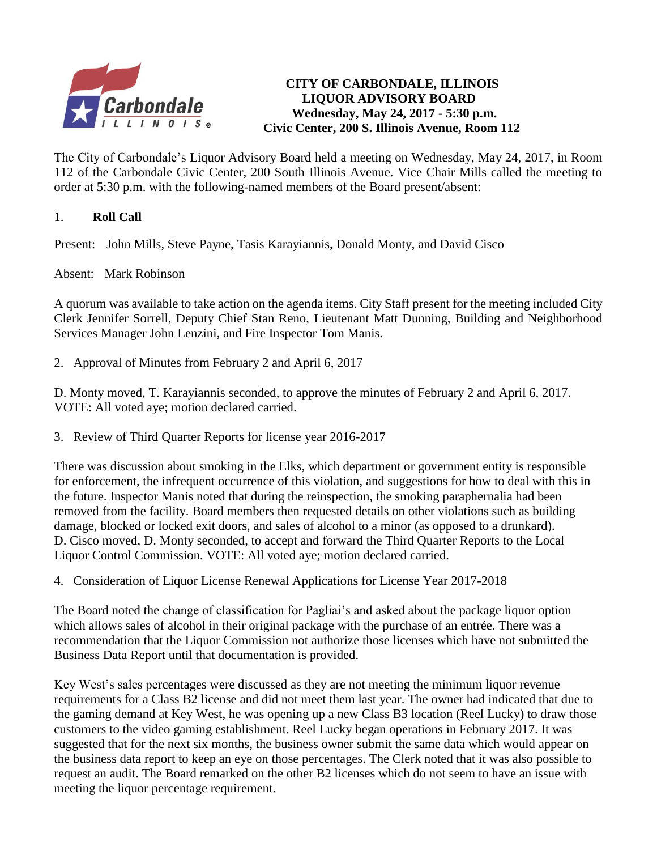

# **CITY OF CARBONDALE, ILLINOIS LIQUOR ADVISORY BOARD Wednesday, May 24, 2017 - 5:30 p.m. Civic Center, 200 S. Illinois Avenue, Room 112**

The City of Carbondale's Liquor Advisory Board held a meeting on Wednesday, May 24, 2017, in Room 112 of the Carbondale Civic Center, 200 South Illinois Avenue. Vice Chair Mills called the meeting to order at 5:30 p.m. with the following-named members of the Board present/absent:

# 1. **Roll Call**

Present: John Mills, Steve Payne, Tasis Karayiannis, Donald Monty, and David Cisco

Absent: Mark Robinson

A quorum was available to take action on the agenda items. City Staff present for the meeting included City Clerk Jennifer Sorrell, Deputy Chief Stan Reno, Lieutenant Matt Dunning, Building and Neighborhood Services Manager John Lenzini, and Fire Inspector Tom Manis.

2. Approval of Minutes from February 2 and April 6, 2017

D. Monty moved, T. Karayiannis seconded, to approve the minutes of February 2 and April 6, 2017. VOTE: All voted aye; motion declared carried.

3. Review of Third Quarter Reports for license year 2016-2017

There was discussion about smoking in the Elks, which department or government entity is responsible for enforcement, the infrequent occurrence of this violation, and suggestions for how to deal with this in the future. Inspector Manis noted that during the reinspection, the smoking paraphernalia had been removed from the facility. Board members then requested details on other violations such as building damage, blocked or locked exit doors, and sales of alcohol to a minor (as opposed to a drunkard). D. Cisco moved, D. Monty seconded, to accept and forward the Third Quarter Reports to the Local Liquor Control Commission. VOTE: All voted aye; motion declared carried.

4. Consideration of Liquor License Renewal Applications for License Year 2017-2018

The Board noted the change of classification for Pagliai's and asked about the package liquor option which allows sales of alcohol in their original package with the purchase of an entrée. There was a recommendation that the Liquor Commission not authorize those licenses which have not submitted the Business Data Report until that documentation is provided.

Key West's sales percentages were discussed as they are not meeting the minimum liquor revenue requirements for a Class B2 license and did not meet them last year. The owner had indicated that due to the gaming demand at Key West, he was opening up a new Class B3 location (Reel Lucky) to draw those customers to the video gaming establishment. Reel Lucky began operations in February 2017. It was suggested that for the next six months, the business owner submit the same data which would appear on the business data report to keep an eye on those percentages. The Clerk noted that it was also possible to request an audit. The Board remarked on the other B2 licenses which do not seem to have an issue with meeting the liquor percentage requirement.